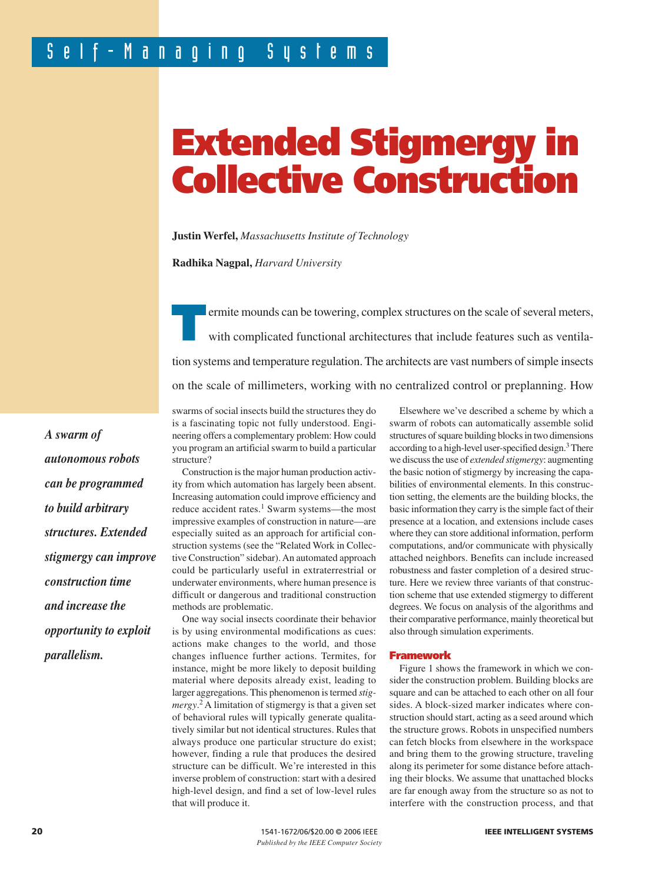# **Extended Stigmergy in Collective Construction**

**Justin Werfel,** *Massachusetts Institute of Technology*

**Radhika Nagpal,** *Harvard University*

ermite mounds can be towering, complex structures on the scale of several meters, with complicated functional architectures that include features such as ventilation systems and temperature regulation. The architects are vast numbers of simple insects on the scale of millimeters, working with no centralized control or preplanning. How

*A swarm of autonomous robots can be programmed to build arbitrary structures. Extended stigmergy can improve construction time and increase the opportunity to exploit parallelism.* 

swarms of social insects build the structures they do is a fascinating topic not fully understood. Engineering offers a complementary problem: How could you program an artificial swarm to build a particular structure?

Construction is the major human production activity from which automation has largely been absent. Increasing automation could improve efficiency and reduce accident rates.<sup>1</sup> Swarm systems—the most impressive examples of construction in nature—are especially suited as an approach for artificial construction systems (see the "Related Work in Collective Construction" sidebar). An automated approach could be particularly useful in extraterrestrial or underwater environments, where human presence is difficult or dangerous and traditional construction methods are problematic.

One way social insects coordinate their behavior is by using environmental modifications as cues: actions make changes to the world, and those changes influence further actions. Termites, for instance, might be more likely to deposit building material where deposits already exist, leading to larger aggregations. This phenomenon is termed *stigmergy*. <sup>2</sup> A limitation of stigmergy is that a given set of behavioral rules will typically generate qualitatively similar but not identical structures. Rules that always produce one particular structure do exist; however, finding a rule that produces the desired structure can be difficult. We're interested in this inverse problem of construction: start with a desired high-level design, and find a set of low-level rules that will produce it.

Elsewhere we've described a scheme by which a swarm of robots can automatically assemble solid structures of square building blocks in two dimensions according to a high-level user-specified design.<sup>3</sup> There we discuss the use of *extended stigmergy*: augmenting the basic notion of stigmergy by increasing the capabilities of environmental elements. In this construction setting, the elements are the building blocks, the basic information they carry is the simple fact of their presence at a location, and extensions include cases where they can store additional information, perform computations, and/or communicate with physically attached neighbors. Benefits can include increased robustness and faster completion of a desired structure. Here we review three variants of that construction scheme that use extended stigmergy to different degrees. We focus on analysis of the algorithms and their comparative performance, mainly theoretical but also through simulation experiments.

#### **Framework**

Figure 1 shows the framework in which we consider the construction problem. Building blocks are square and can be attached to each other on all four sides. A block-sized marker indicates where construction should start, acting as a seed around which the structure grows. Robots in unspecified numbers can fetch blocks from elsewhere in the workspace and bring them to the growing structure, traveling along its perimeter for some distance before attaching their blocks. We assume that unattached blocks are far enough away from the structure so as not to interfere with the construction process, and that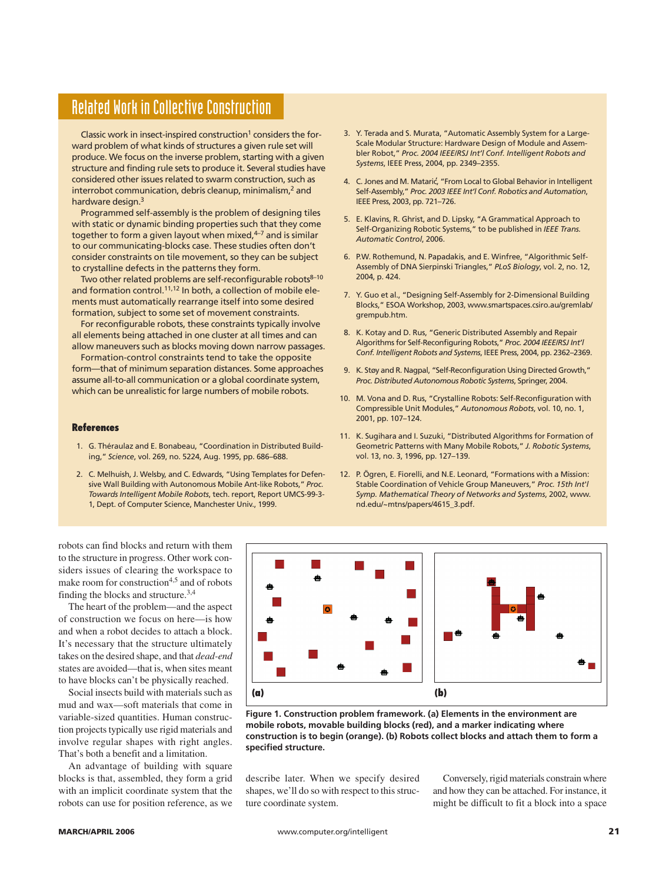## Related Work in Collective Construction

Classic work in insect-inspired construction<sup>1</sup> considers the forward problem of what kinds of structures a given rule set will produce. We focus on the inverse problem, starting with a given structure and finding rule sets to produce it. Several studies have considered other issues related to swarm construction, such as interrobot communication, debris cleanup, minimalism,<sup>2</sup> and hardware design.3

Programmed self-assembly is the problem of designing tiles with static or dynamic binding properties such that they come together to form a given layout when mixed, $4-7$  and is similar to our communicating-blocks case. These studies often don't consider constraints on tile movement, so they can be subject to crystalline defects in the patterns they form.

Two other related problems are self-reconfigurable robots $8-10$ and formation control.<sup>11,12</sup> In both, a collection of mobile elements must automatically rearrange itself into some desired formation, subject to some set of movement constraints.

For reconfigurable robots, these constraints typically involve all elements being attached in one cluster at all times and can allow maneuvers such as blocks moving down narrow passages.

Formation-control constraints tend to take the opposite form—that of minimum separation distances. Some approaches assume all-to-all communication or a global coordinate system, which can be unrealistic for large numbers of mobile robots.

#### **References**

- 1. G. Théraulaz and E. Bonabeau, "Coordination in Distributed Building," *Science*, vol. 269, no. 5224, Aug. 1995, pp. 686–688.
- 2. C. Melhuish, J. Welsby, and C. Edwards, "Using Templates for Defensive Wall Building with Autonomous Mobile Ant-like Robots," *Proc. Towards Intelligent Mobile Robots*, tech. report, Report UMCS-99-3- 1, Dept. of Computer Science, Manchester Univ., 1999.
- 3. Y. Terada and S. Murata, "Automatic Assembly System for a Large-Scale Modular Structure: Hardware Design of Module and Assembler Robot," *Proc. 2004 IEEE/RSJ Int'l Conf. Intelligent Robots and Systems*, IEEE Press, 2004, pp. 2349–2355.
- 4. C. Jones and M. Matarić, "From Local to Global Behavior in Intelligent Self-Assembly," *Proc. 2003 IEEE Int'l Conf. Robotics and Automation*, IEEE Press, 2003, pp. 721–726.
- 5. E. Klavins, R. Ghrist, and D. Lipsky, "A Grammatical Approach to Self-Organizing Robotic Systems," to be published in *IEEE Trans. Automatic Control*, 2006.
- 6. P.W. Rothemund, N. Papadakis, and E. Winfree, "Algorithmic Self-Assembly of DNA Sierpinski Triangles," *PLoS Biology*, vol. 2, no. 12, 2004, p. 424.
- 7. Y. Guo et al., "Designing Self-Assembly for 2-Dimensional Building Blocks," ESOA Workshop, 2003, www.smartspaces.csiro.au/gremlab/ grempub.htm.
- 8. K. Kotay and D. Rus, "Generic Distributed Assembly and Repair Algorithms for Self-Reconfiguring Robots," *Proc. 2004 IEEE/RSJ Int'l Conf. Intelligent Robots and Systems*, IEEE Press, 2004, pp. 2362–2369.
- 9. K. Støy and R. Nagpal, "Self-Reconfiguration Using Directed Growth," *Proc. Distributed Autonomous Robotic Systems*, Springer, 2004.
- 10. M. Vona and D. Rus, "Crystalline Robots: Self-Reconfiguration with Compressible Unit Modules," *Autonomous Robots*, vol. 10, no. 1, 2001, pp. 107–124.
- 11. K. Sugihara and I. Suzuki, "Distributed Algorithms for Formation of Geometric Patterns with Many Mobile Robots," *J. Robotic Systems*, vol. 13, no. 3, 1996, pp. 127–139.
- 12. P. Ögren, E. Fiorelli, and N.E. Leonard, "Formations with a Mission: Stable Coordination of Vehicle Group Maneuvers," *Proc. 15th Int'l Symp. Mathematical Theory of Networks and Systems*, 2002, www. nd.edu/~mtns/papers/4615\_3.pdf.

robots can find blocks and return with them to the structure in progress. Other work considers issues of clearing the workspace to make room for construction<sup>4,5</sup> and of robots finding the blocks and structure.3,4

The heart of the problem—and the aspect of construction we focus on here—is how and when a robot decides to attach a block. It's necessary that the structure ultimately takes on the desired shape, and that *dead-end* states are avoided—that is, when sites meant to have blocks can't be physically reached.

Social insects build with materials such as mud and wax—soft materials that come in variable-sized quantities. Human construction projects typically use rigid materials and involve regular shapes with right angles. That's both a benefit and a limitation.

An advantage of building with square blocks is that, assembled, they form a grid with an implicit coordinate system that the robots can use for position reference, as we



**Figure 1. Construction problem framework. (a) Elements in the environment are mobile robots, movable building blocks (red), and a marker indicating where construction is to begin (orange). (b) Robots collect blocks and attach them to form a specified structure.**

describe later. When we specify desired shapes, we'll do so with respect to this structure coordinate system.

Conversely, rigid materials constrain where and how they can be attached. For instance, it might be difficult to fit a block into a space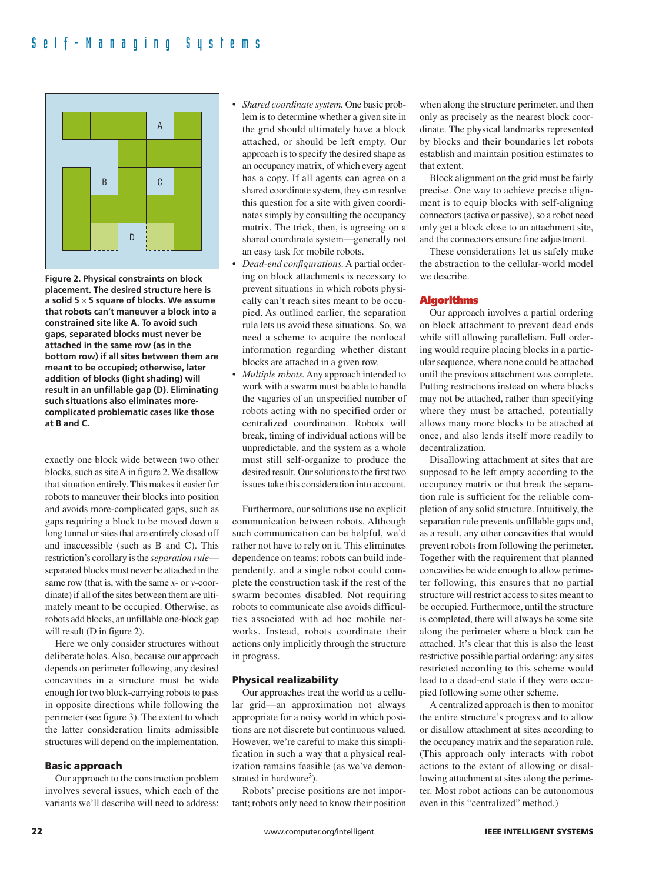

**Figure 2. Physical constraints on block placement. The desired structure here is a solid 5** - **5 square of blocks. We assume that robots can't maneuver a block into a constrained site like A. To avoid such gaps, separated blocks must never be attached in the same row (as in the bottom row) if all sites between them are meant to be occupied; otherwise, later addition of blocks (light shading) will result in an unfillable gap (D). Eliminating such situations also eliminates morecomplicated problematic cases like those at B and C.**

exactly one block wide between two other blocks, such as site A in figure 2. We disallow that situation entirely. This makes it easier for robots to maneuver their blocks into position and avoids more-complicated gaps, such as gaps requiring a block to be moved down a long tunnel or sites that are entirely closed off and inaccessible (such as B and C). This restriction's corollary is the *separation rule* separated blocks must never be attached in the same row (that is, with the same *x*- or *y*-coordinate) if all of the sites between them are ultimately meant to be occupied. Otherwise, as robots add blocks, an unfillable one-block gap will result (D in figure 2).

Here we only consider structures without deliberate holes. Also, because our approach depends on perimeter following, any desired concavities in a structure must be wide enough for two block-carrying robots to pass in opposite directions while following the perimeter (see figure 3). The extent to which the latter consideration limits admissible structures will depend on the implementation.

#### **Basic approach**

Our approach to the construction problem involves several issues, which each of the variants we'll describe will need to address:

- *Shared coordinate system.* One basic problem is to determine whether a given site in the grid should ultimately have a block attached, or should be left empty. Our approach is to specify the desired shape as an occupancy matrix, of which every agent has a copy. If all agents can agree on a shared coordinate system, they can resolve this question for a site with given coordinates simply by consulting the occupancy matrix. The trick, then, is agreeing on a shared coordinate system—generally not an easy task for mobile robots.
- *Dead-end configurations.*A partial ordering on block attachments is necessary to prevent situations in which robots physically can't reach sites meant to be occupied. As outlined earlier, the separation rule lets us avoid these situations. So, we need a scheme to acquire the nonlocal information regarding whether distant blocks are attached in a given row.
- *Multiple robots.*Any approach intended to work with a swarm must be able to handle the vagaries of an unspecified number of robots acting with no specified order or centralized coordination. Robots will break, timing of individual actions will be unpredictable, and the system as a whole must still self-organize to produce the desired result. Our solutions to the first two issues take this consideration into account.

Furthermore, our solutions use no explicit communication between robots. Although such communication can be helpful, we'd rather not have to rely on it. This eliminates dependence on teams: robots can build independently, and a single robot could complete the construction task if the rest of the swarm becomes disabled. Not requiring robots to communicate also avoids difficulties associated with ad hoc mobile networks. Instead, robots coordinate their actions only implicitly through the structure in progress.

#### **Physical realizability**

Our approaches treat the world as a cellular grid—an approximation not always appropriate for a noisy world in which positions are not discrete but continuous valued. However, we're careful to make this simplification in such a way that a physical realization remains feasible (as we've demonstrated in hardware<sup>3</sup>).

Robots' precise positions are not important; robots only need to know their position when along the structure perimeter, and then only as precisely as the nearest block coordinate. The physical landmarks represented by blocks and their boundaries let robots establish and maintain position estimates to that extent.

Block alignment on the grid must be fairly precise. One way to achieve precise alignment is to equip blocks with self-aligning connectors (active or passive), so a robot need only get a block close to an attachment site, and the connectors ensure fine adjustment.

These considerations let us safely make the abstraction to the cellular-world model we describe.

#### **Algorithms**

Our approach involves a partial ordering on block attachment to prevent dead ends while still allowing parallelism. Full ordering would require placing blocks in a particular sequence, where none could be attached until the previous attachment was complete. Putting restrictions instead on where blocks may not be attached, rather than specifying where they must be attached, potentially allows many more blocks to be attached at once, and also lends itself more readily to decentralization.

Disallowing attachment at sites that are supposed to be left empty according to the occupancy matrix or that break the separation rule is sufficient for the reliable completion of any solid structure. Intuitively, the separation rule prevents unfillable gaps and, as a result, any other concavities that would prevent robots from following the perimeter. Together with the requirement that planned concavities be wide enough to allow perimeter following, this ensures that no partial structure will restrict access to sites meant to be occupied. Furthermore, until the structure is completed, there will always be some site along the perimeter where a block can be attached. It's clear that this is also the least restrictive possible partial ordering: any sites restricted according to this scheme would lead to a dead-end state if they were occupied following some other scheme.

A centralized approach is then to monitor the entire structure's progress and to allow or disallow attachment at sites according to the occupancy matrix and the separation rule. (This approach only interacts with robot actions to the extent of allowing or disallowing attachment at sites along the perimeter. Most robot actions can be autonomous even in this "centralized" method.)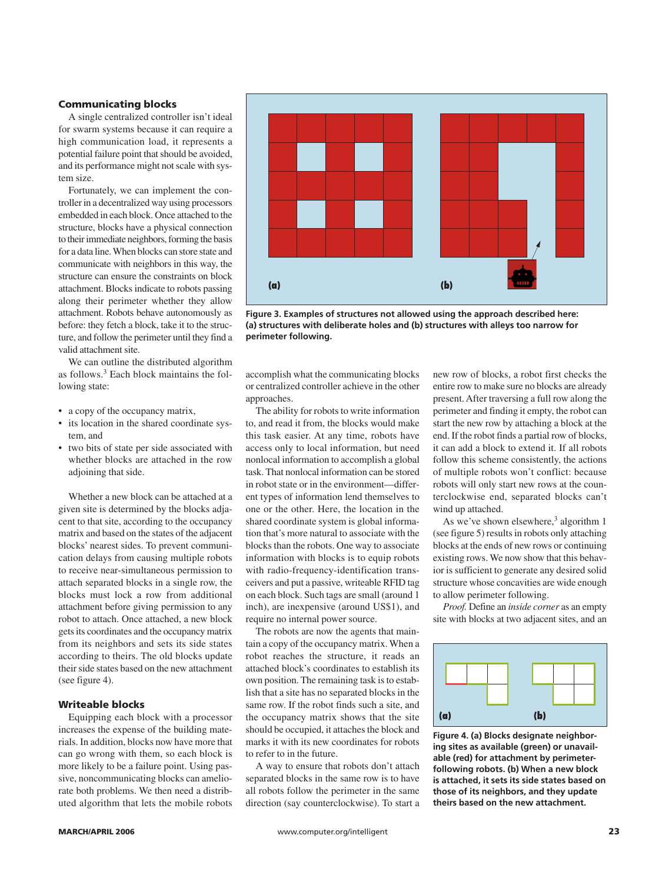#### **Communicating blocks**

A single centralized controller isn't ideal for swarm systems because it can require a high communication load, it represents a potential failure point that should be avoided, and its performance might not scale with system size.

Fortunately, we can implement the controller in a decentralized way using processors embedded in each block. Once attached to the structure, blocks have a physical connection to their immediate neighbors, forming the basis for a data line. When blocks can store state and communicate with neighbors in this way, the structure can ensure the constraints on block attachment. Blocks indicate to robots passing along their perimeter whether they allow attachment. Robots behave autonomously as before: they fetch a block, take it to the structure, and follow the perimeter until they find a valid attachment site.

We can outline the distributed algorithm as follows.<sup>3</sup> Each block maintains the following state:

- a copy of the occupancy matrix,
- its location in the shared coordinate system, and
- two bits of state per side associated with whether blocks are attached in the row adjoining that side.

Whether a new block can be attached at a given site is determined by the blocks adjacent to that site, according to the occupancy matrix and based on the states of the adjacent blocks' nearest sides. To prevent communication delays from causing multiple robots to receive near-simultaneous permission to attach separated blocks in a single row, the blocks must lock a row from additional attachment before giving permission to any robot to attach. Once attached, a new block gets its coordinates and the occupancy matrix from its neighbors and sets its side states according to theirs. The old blocks update their side states based on the new attachment (see figure 4).

#### **Writeable blocks**

Equipping each block with a processor increases the expense of the building materials. In addition, blocks now have more that can go wrong with them, so each block is more likely to be a failure point. Using passive, noncommunicating blocks can ameliorate both problems. We then need a distributed algorithm that lets the mobile robots



**Figure 3. Examples of structures not allowed using the approach described here: (a) structures with deliberate holes and (b) structures with alleys too narrow for perimeter following.**

accomplish what the communicating blocks or centralized controller achieve in the other approaches.

The ability for robots to write information to, and read it from, the blocks would make this task easier. At any time, robots have access only to local information, but need nonlocal information to accomplish a global task. That nonlocal information can be stored in robot state or in the environment—different types of information lend themselves to one or the other. Here, the location in the shared coordinate system is global information that's more natural to associate with the blocks than the robots. One way to associate information with blocks is to equip robots with radio-frequency-identification transceivers and put a passive, writeable RFID tag on each block. Such tags are small (around 1 inch), are inexpensive (around US\$1), and require no internal power source.

The robots are now the agents that maintain a copy of the occupancy matrix. When a robot reaches the structure, it reads an attached block's coordinates to establish its own position. The remaining task is to establish that a site has no separated blocks in the same row. If the robot finds such a site, and the occupancy matrix shows that the site should be occupied, it attaches the block and marks it with its new coordinates for robots to refer to in the future.

A way to ensure that robots don't attach separated blocks in the same row is to have all robots follow the perimeter in the same direction (say counterclockwise). To start a new row of blocks, a robot first checks the entire row to make sure no blocks are already present. After traversing a full row along the perimeter and finding it empty, the robot can start the new row by attaching a block at the end. If the robot finds a partial row of blocks, it can add a block to extend it. If all robots follow this scheme consistently, the actions of multiple robots won't conflict: because robots will only start new rows at the counterclockwise end, separated blocks can't wind up attached.

As we've shown elsewhere,<sup>3</sup> algorithm 1 (see figure 5) results in robots only attaching blocks at the ends of new rows or continuing existing rows. We now show that this behavior is sufficient to generate any desired solid structure whose concavities are wide enough to allow perimeter following.

*Proof.* Define an *inside corner* as an empty site with blocks at two adjacent sites, and an



**Figure 4. (a) Blocks designate neighboring sites as available (green) or unavailable (red) for attachment by perimeterfollowing robots. (b) When a new block is attached, it sets its side states based on those of its neighbors, and they update theirs based on the new attachment.**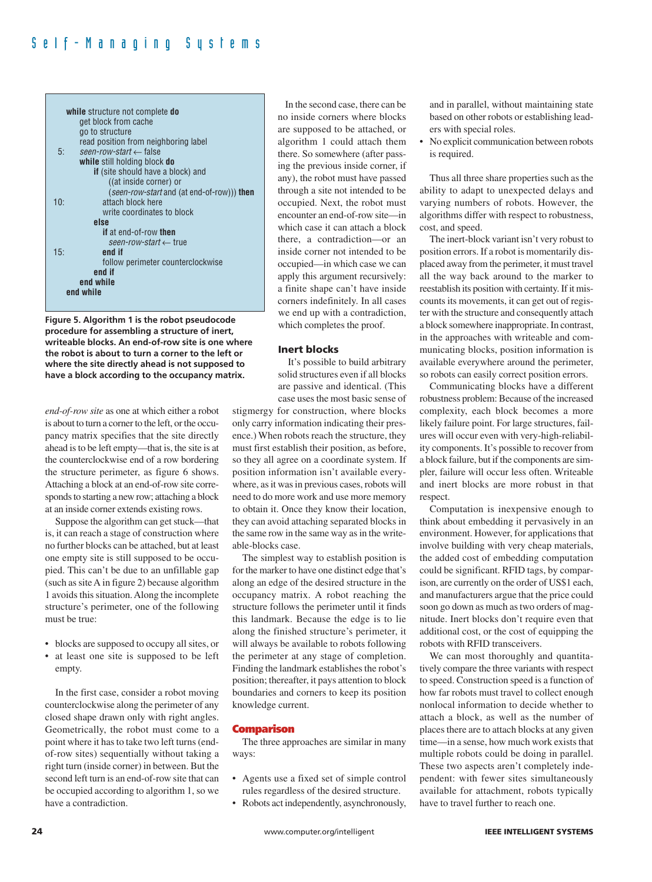

**Figure 5. Algorithm 1 is the robot pseudocode procedure for assembling a structure of inert, writeable blocks. An end-of-row site is one where the robot is about to turn a corner to the left or where the site directly ahead is not supposed to have a block according to the occupancy matrix.**

*end-of-row site* as one at which either a robot is about to turn a corner to the left, or the occupancy matrix specifies that the site directly ahead is to be left empty—that is, the site is at the counterclockwise end of a row bordering the structure perimeter, as figure 6 shows. Attaching a block at an end-of-row site corresponds to starting a new row; attaching a block at an inside corner extends existing rows.

Suppose the algorithm can get stuck—that is, it can reach a stage of construction where no further blocks can be attached, but at least one empty site is still supposed to be occupied. This can't be due to an unfillable gap (such as site A in figure 2) because algorithm 1 avoids this situation. Along the incomplete structure's perimeter, one of the following must be true:

- blocks are supposed to occupy all sites, or
- at least one site is supposed to be left empty.

In the first case, consider a robot moving counterclockwise along the perimeter of any closed shape drawn only with right angles. Geometrically, the robot must come to a point where it has to take two left turns (endof-row sites) sequentially without taking a right turn (inside corner) in between. But the second left turn is an end-of-row site that can be occupied according to algorithm 1, so we have a contradiction.

In the second case, there can be no inside corners where blocks are supposed to be attached, or algorithm 1 could attach them there. So somewhere (after passing the previous inside corner, if any), the robot must have passed through a site not intended to be occupied. Next, the robot must encounter an end-of-row site—in which case it can attach a block there, a contradiction—or an inside corner not intended to be occupied—in which case we can apply this argument recursively: a finite shape can't have inside corners indefinitely. In all cases we end up with a contradiction, which completes the proof.

#### **Inert blocks**

It's possible to build arbitrary solid structures even if all blocks are passive and identical. (This case uses the most basic sense of

stigmergy for construction, where blocks only carry information indicating their presence.) When robots reach the structure, they must first establish their position, as before, so they all agree on a coordinate system. If position information isn't available everywhere, as it was in previous cases, robots will need to do more work and use more memory to obtain it. Once they know their location, they can avoid attaching separated blocks in the same row in the same way as in the writeable-blocks case.

The simplest way to establish position is for the marker to have one distinct edge that's along an edge of the desired structure in the occupancy matrix. A robot reaching the structure follows the perimeter until it finds this landmark. Because the edge is to lie along the finished structure's perimeter, it will always be available to robots following the perimeter at any stage of completion. Finding the landmark establishes the robot's position; thereafter, it pays attention to block boundaries and corners to keep its position knowledge current.

#### **Comparison**

The three approaches are similar in many ways:

- Agents use a fixed set of simple control rules regardless of the desired structure.
- Robots act independently, asynchronously,

and in parallel, without maintaining state based on other robots or establishing leaders with special roles.

• No explicit communication between robots is required.

Thus all three share properties such as the ability to adapt to unexpected delays and varying numbers of robots. However, the algorithms differ with respect to robustness, cost, and speed.

The inert-block variant isn't very robust to position errors. If a robot is momentarily displaced away from the perimeter, it must travel all the way back around to the marker to reestablish its position with certainty. If it miscounts its movements, it can get out of register with the structure and consequently attach a block somewhere inappropriate. In contrast, in the approaches with writeable and communicating blocks, position information is available everywhere around the perimeter, so robots can easily correct position errors.

Communicating blocks have a different robustness problem: Because of the increased complexity, each block becomes a more likely failure point. For large structures, failures will occur even with very-high-reliability components. It's possible to recover from a block failure, but if the components are simpler, failure will occur less often. Writeable and inert blocks are more robust in that respect.

Computation is inexpensive enough to think about embedding it pervasively in an environment. However, for applications that involve building with very cheap materials, the added cost of embedding computation could be significant. RFID tags, by comparison, are currently on the order of US\$1 each, and manufacturers argue that the price could soon go down as much as two orders of magnitude. Inert blocks don't require even that additional cost, or the cost of equipping the robots with RFID transceivers.

We can most thoroughly and quantitatively compare the three variants with respect to speed. Construction speed is a function of how far robots must travel to collect enough nonlocal information to decide whether to attach a block, as well as the number of places there are to attach blocks at any given time—in a sense, how much work exists that multiple robots could be doing in parallel. These two aspects aren't completely independent: with fewer sites simultaneously available for attachment, robots typically have to travel further to reach one.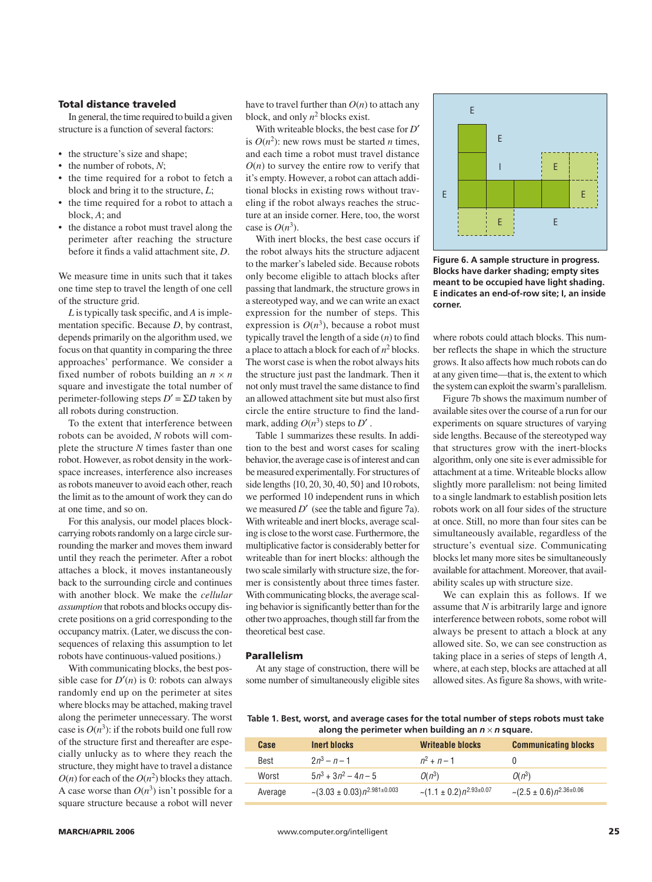#### **Total distance traveled**

In general, the time required to build a given structure is a function of several factors:

- the structure's size and shape:
- the number of robots, *N*;
- the time required for a robot to fetch a block and bring it to the structure, *L*;
- the time required for a robot to attach a block, *A*; and
- the distance a robot must travel along the perimeter after reaching the structure before it finds a valid attachment site, *D*.

We measure time in units such that it takes one time step to travel the length of one cell of the structure grid.

*L* is typically task specific, and *A* is implementation specific. Because *D*, by contrast, depends primarily on the algorithm used, we focus on that quantity in comparing the three approaches' performance. We consider a fixed number of robots building an  $n \times n$ square and investigate the total number of perimeter-following steps  $D' = \Sigma D$  taken by all robots during construction.

To the extent that interference between robots can be avoided, *N* robots will complete the structure *N* times faster than one robot. However, as robot density in the workspace increases, interference also increases as robots maneuver to avoid each other, reach the limit as to the amount of work they can do at one time, and so on.

For this analysis, our model places blockcarrying robots randomly on a large circle surrounding the marker and moves them inward until they reach the perimeter. After a robot attaches a block, it moves instantaneously back to the surrounding circle and continues with another block. We make the *cellular assumption* that robots and blocks occupy discrete positions on a grid corresponding to the occupancy matrix. (Later, we discuss the consequences of relaxing this assumption to let robots have continuous-valued positions.)

With communicating blocks, the best possible case for  $D'(n)$  is 0: robots can always randomly end up on the perimeter at sites where blocks may be attached, making travel along the perimeter unnecessary. The worst case is  $O(n^3)$ : if the robots build one full row of the structure first and thereafter are especially unlucky as to where they reach the structure, they might have to travel a distance  $O(n)$  for each of the  $O(n^2)$  blocks they attach. A case worse than  $O(n^3)$  isn't possible for a square structure because a robot will never

have to travel further than  $O(n)$  to attach any block, and only *n*<sup>2</sup> blocks exist.

With writeable blocks, the best case for *D* is  $O(n^2)$ : new rows must be started *n* times, and each time a robot must travel distance  $O(n)$  to survey the entire row to verify that it's empty. However, a robot can attach additional blocks in existing rows without traveling if the robot always reaches the structure at an inside corner. Here, too, the worst case is  $O(n^3)$ .

With inert blocks, the best case occurs if the robot always hits the structure adjacent to the marker's labeled side. Because robots only become eligible to attach blocks after passing that landmark, the structure grows in a stereotyped way, and we can write an exact expression for the number of steps. This expression is  $O(n^3)$ , because a robot must typically travel the length of a side (*n*) to find a place to attach a block for each of  $n^2$  blocks. The worst case is when the robot always hits the structure just past the landmark. Then it not only must travel the same distance to find an allowed attachment site but must also first circle the entire structure to find the landmark, adding  $O(n^3)$  steps to  $D'$ .

Table 1 summarizes these results. In addition to the best and worst cases for scaling behavior, the average case is of interest and can be measured experimentally. For structures of side lengths {10, 20, 30, 40, 50} and 10 robots, we performed 10 independent runs in which we measured  $D'$  (see the table and figure 7a). With writeable and inert blocks, average scaling is close to the worst case. Furthermore, the multiplicative factor is considerably better for writeable than for inert blocks: although the two scale similarly with structure size, the former is consistently about three times faster. With communicating blocks, the average scaling behavior is significantly better than for the other two approaches, though still far from the theoretical best case.

#### **Parallelism**

At any stage of construction, there will be some number of simultaneously eligible sites



**Figure 6. A sample structure in progress. Blocks have darker shading; empty sites meant to be occupied have light shading. E indicates an end-of-row site; I, an inside corner.**

where robots could attach blocks. This number reflects the shape in which the structure grows. It also affects how much robots can do at any given time—that is, the extent to which the system can exploit the swarm's parallelism.

Figure 7b shows the maximum number of available sites over the course of a run for our experiments on square structures of varying side lengths. Because of the stereotyped way that structures grow with the inert-blocks algorithm, only one site is ever admissible for attachment at a time. Writeable blocks allow slightly more parallelism: not being limited to a single landmark to establish position lets robots work on all four sides of the structure at once. Still, no more than four sites can be simultaneously available, regardless of the structure's eventual size. Communicating blocks let many more sites be simultaneously available for attachment. Moreover, that availability scales up with structure size.

We can explain this as follows. If we assume that *N* is arbitrarily large and ignore interference between robots, some robot will always be present to attach a block at any allowed site. So, we can see construction as taking place in a series of steps of length *A*, where, at each step, blocks are attached at all allowed sites. As figure 8a shows, with write-

**Table 1. Best, worst, and average cases for the total number of steps robots must take** along the perimeter when building an  $n \times n$  square.

| Case    | Inert blocks                               | <b>Writeable blocks</b>              | <b>Communicating blocks</b>          |
|---------|--------------------------------------------|--------------------------------------|--------------------------------------|
| Best    | $2n^3 - n - 1$                             | $n^2 + n - 1$                        |                                      |
| Worst   | $5n^3 + 3n^2 - 4n - 5$                     | $O(n^3)$                             | $O(n^3)$                             |
| Average | $\sim (3.03 \pm 0.03) n^{2.981 \pm 0.003}$ | $\sim$ (1.1 ± 0.2) $n^{2.93\pm0.07}$ | $\sim$ (2.5 ± 0.6) $n^{2.36\pm0.06}$ |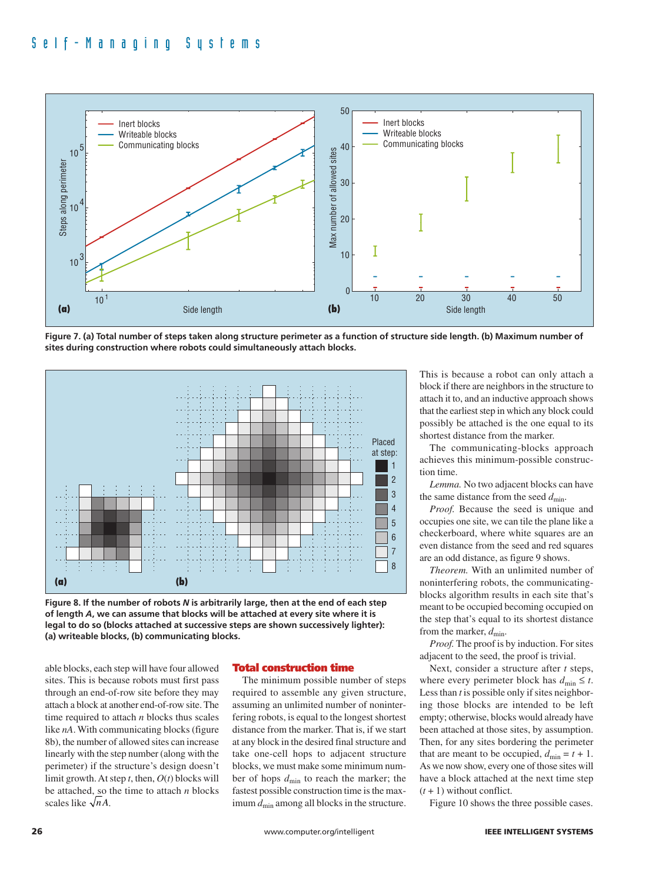

**Figure 7. (a) Total number of steps taken along structure perimeter as a function of structure side length. (b) Maximum number of sites during construction where robots could simultaneously attach blocks.**



**Figure 8. If the number of robots** *N* **is arbitrarily large, then at the end of each step of length** *A***, we can assume that blocks will be attached at every site where it is legal to do so (blocks attached at successive steps are shown successively lighter): (a) writeable blocks, (b) communicating blocks.**

able blocks, each step will have four allowed sites. This is because robots must first pass through an end-of-row site before they may attach a block at another end-of-row site. The time required to attach *n* blocks thus scales like *nA*. With communicating blocks (figure 8b), the number of allowed sites can increase linearly with the step number (along with the perimeter) if the structure's design doesn't limit growth. At step *t*, then, *O*(*t*) blocks will be attached, so the time to attach *n* blocks scales like  $\sqrt{nA}$ .

#### **Total construction time**

The minimum possible number of steps required to assemble any given structure, assuming an unlimited number of noninterfering robots, is equal to the longest shortest distance from the marker. That is, if we start at any block in the desired final structure and take one-cell hops to adjacent structure blocks, we must make some minimum number of hops  $d_{\text{min}}$  to reach the marker; the fastest possible construction time is the max*nA*. imum *d*<sub>min</sub> among all blocks in the structure. Figure 10 shows the three possible cases.

This is because a robot can only attach a block if there are neighbors in the structure to attach it to, and an inductive approach shows that the earliest step in which any block could possibly be attached is the one equal to its shortest distance from the marker.

The communicating-blocks approach achieves this minimum-possible construction time.

*Lemma.* No two adjacent blocks can have the same distance from the seed  $d_{\text{min}}$ .

*Proof.* Because the seed is unique and occupies one site, we can tile the plane like a checkerboard, where white squares are an even distance from the seed and red squares are an odd distance, as figure 9 shows.

*Theorem.* With an unlimited number of noninterfering robots, the communicatingblocks algorithm results in each site that's meant to be occupied becoming occupied on the step that's equal to its shortest distance from the marker,  $d_{\text{min}}$ .

*Proof.* The proof is by induction. For sites adjacent to the seed, the proof is trivial.

Next, consider a structure after *t* steps, where every perimeter block has  $d_{\text{min}} \leq t$ . Less than *t* is possible only if sites neighboring those blocks are intended to be left empty; otherwise, blocks would already have been attached at those sites, by assumption. Then, for any sites bordering the perimeter that are meant to be occupied,  $d_{\text{min}} = t + 1$ . As we now show, every one of those sites will have a block attached at the next time step  $(t + 1)$  without conflict.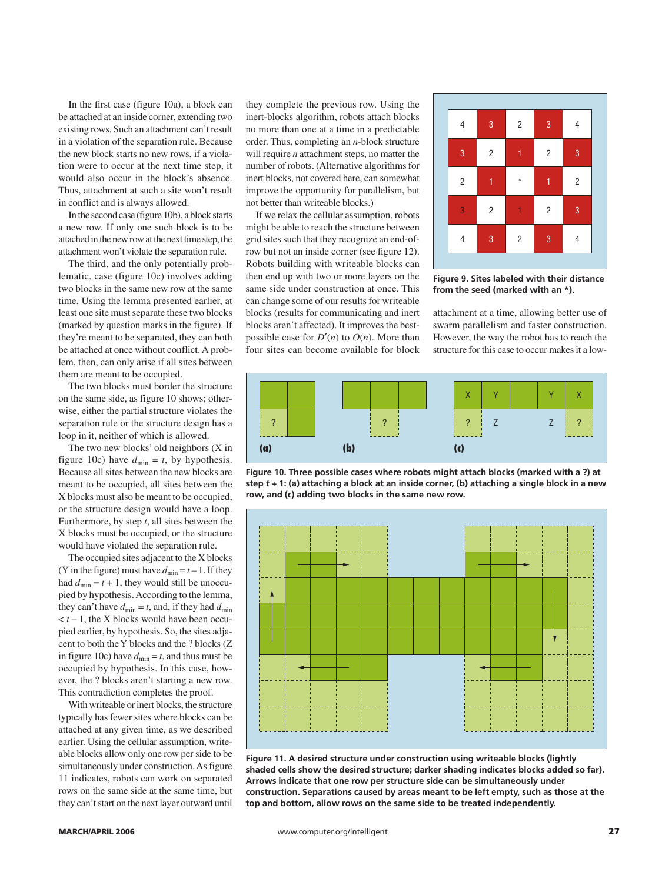In the first case (figure 10a), a block can be attached at an inside corner, extending two existing rows. Such an attachment can't result in a violation of the separation rule. Because the new block starts no new rows, if a violation were to occur at the next time step, it would also occur in the block's absence. Thus, attachment at such a site won't result in conflict and is always allowed.

In the second case (figure 10b), a block starts a new row. If only one such block is to be attached in the new row at the next time step, the attachment won't violate the separation rule.

The third, and the only potentially problematic, case (figure 10c) involves adding two blocks in the same new row at the same time. Using the lemma presented earlier, at least one site must separate these two blocks (marked by question marks in the figure). If they're meant to be separated, they can both be attached at once without conflict. A problem, then, can only arise if all sites between them are meant to be occupied.

The two blocks must border the structure on the same side, as figure 10 shows; otherwise, either the partial structure violates the separation rule or the structure design has a loop in it, neither of which is allowed.

The two new blocks' old neighbors (X in figure 10c) have  $d_{\text{min}} = t$ , by hypothesis. Because all sites between the new blocks are meant to be occupied, all sites between the X blocks must also be meant to be occupied, or the structure design would have a loop. Furthermore, by step *t*, all sites between the X blocks must be occupied, or the structure would have violated the separation rule.

The occupied sites adjacent to the X blocks (Y in the figure) must have  $d_{\text{min}} = t - 1$ . If they had  $d_{\text{min}} = t + 1$ , they would still be unoccupied by hypothesis. According to the lemma, they can't have  $d_{\text{min}} = t$ , and, if they had  $d_{\text{min}}$  $< t - 1$ , the X blocks would have been occupied earlier, by hypothesis. So, the sites adjacent to both the Y blocks and the ? blocks (Z in figure 10c) have  $d_{\text{min}} = t$ , and thus must be occupied by hypothesis. In this case, however, the ? blocks aren't starting a new row. This contradiction completes the proof.

With writeable or inert blocks, the structure typically has fewer sites where blocks can be attached at any given time, as we described earlier. Using the cellular assumption, writeable blocks allow only one row per side to be simultaneously under construction. As figure 11 indicates, robots can work on separated rows on the same side at the same time, but they can't start on the next layer outward until they complete the previous row. Using the inert-blocks algorithm, robots attach blocks no more than one at a time in a predictable order. Thus, completing an *n*-block structure will require *n* attachment steps, no matter the number of robots. (Alternative algorithms for inert blocks, not covered here, can somewhat improve the opportunity for parallelism, but not better than writeable blocks.)

If we relax the cellular assumption, robots might be able to reach the structure between grid sites such that they recognize an end-ofrow but not an inside corner (see figure 12). Robots building with writeable blocks can then end up with two or more layers on the same side under construction at once. This can change some of our results for writeable blocks (results for communicating and inert blocks aren't affected). It improves the bestpossible case for  $D'(n)$  to  $O(n)$ . More than four sites can become available for block



**Figure 9. Sites labeled with their distance from the seed (marked with an \*).**

attachment at a time, allowing better use of swarm parallelism and faster construction. However, the way the robot has to reach the structure for this case to occur makes it a low-



**Figure 10. Three possible cases where robots might attach blocks (marked with a ?) at step** *t* **+ 1: (a) attaching a block at an inside corner, (b) attaching a single block in a new row, and (c) adding two blocks in the same new row.**



**Figure 11. A desired structure under construction using writeable blocks (lightly shaded cells show the desired structure; darker shading indicates blocks added so far). Arrows indicate that one row per structure side can be simultaneously under construction. Separations caused by areas meant to be left empty, such as those at the top and bottom, allow rows on the same side to be treated independently.**